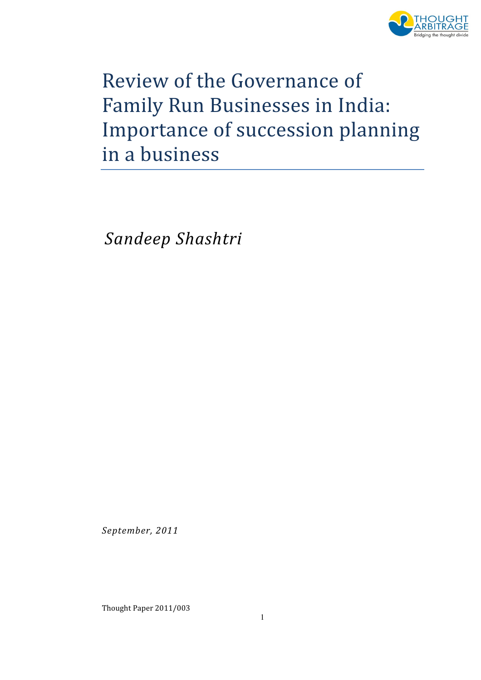

# Review of the Governance of Family Run Businesses in India: Importance of succession planning in a business

Sandeep Shashtri

September, 2011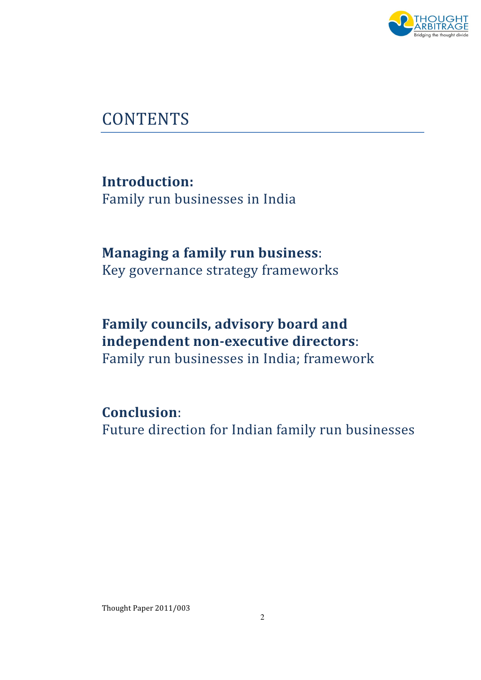

## **CONTENTS**

Introduction: Family run businesses in India

#### Managing a family run business: Key governance strategy frameworks

## Family councils, advisory board and independent non-executive directors:

Family run businesses in India; framework

#### Conclusion:

Future direction for Indian family run businesses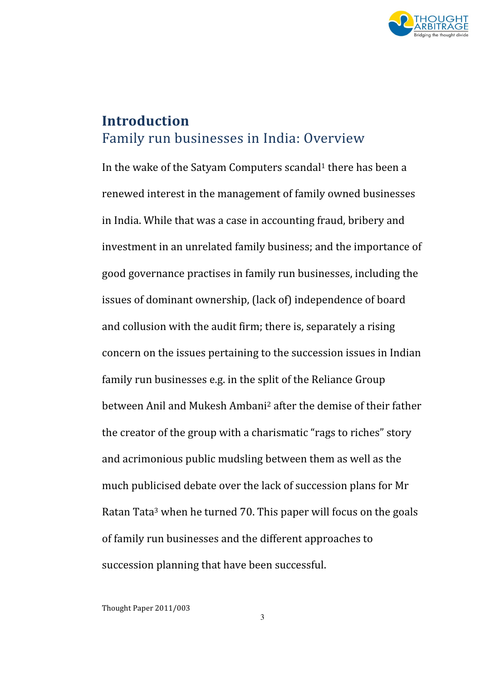

#### Introduction Family run businesses in India: Overview

In the wake of the Satyam Computers scandal<sup>1</sup> there has been a renewed interest in the management of family owned businesses in India. While that was a case in accounting fraud, bribery and investment in an unrelated family business; and the importance of good governance practises in family run businesses, including the issues of dominant ownership, (lack of) independence of board and collusion with the audit firm; there is, separately a rising concern on the issues pertaining to the succession issues in Indian family run businesses e.g. in the split of the Reliance Group between Anil and Mukesh Ambani<sup>2</sup> after the demise of their father the creator of the group with a charismatic "rags to riches" story and acrimonious public mudsling between them as well as the much publicised debate over the lack of succession plans for Mr Ratan Tata<sup>3</sup> when he turned 70. This paper will focus on the goals of family run businesses and the different approaches to succession planning that have been successful.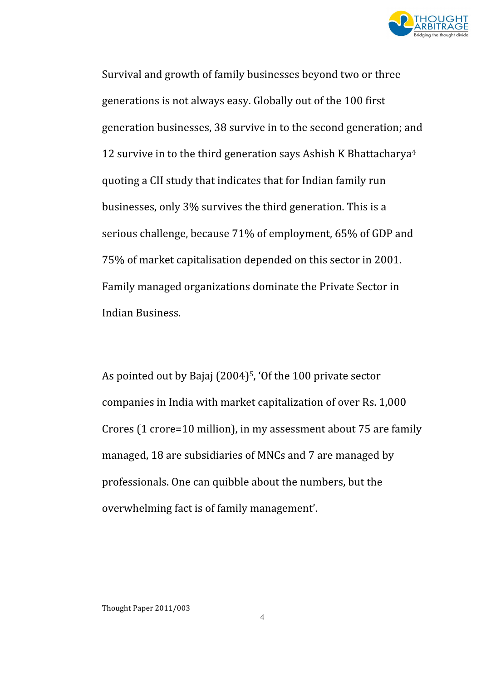

Survival and growth of family businesses beyond two or three generations is not always easy. Globally out of the 100 first generation businesses, 38 survive in to the second generation; and 12 survive in to the third generation says Ashish K Bhattacharya<sup>4</sup> quoting a CII study that indicates that for Indian family run businesses, only 3% survives the third generation. This is a serious challenge, because 71% of employment, 65% of GDP and 75% of market capitalisation depended on this sector in 2001. Family managed organizations dominate the Private Sector in Indian Business.

As pointed out by Bajaj (2004)<sup>5</sup>, 'Of the 100 private sector companies in India with market capitalization of over Rs. 1,000 Crores (1 crore=10 million), in my assessment about 75 are family managed, 18 are subsidiaries of MNCs and 7 are managed by professionals. One can quibble about the numbers, but the overwhelming fact is of family management'.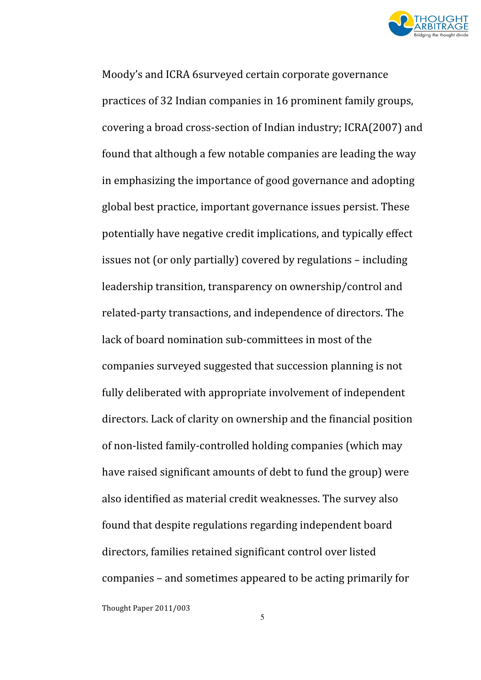

Moody's and ICRA 6surveyed certain corporate governance practices of 32 Indian companies in 16 prominent family groups, covering a broad cross-section of Indian industry; ICRA(2007) and found that although a few notable companies are leading the way in emphasizing the importance of good governance and adopting global best practice, important governance issues persist. These potentially have negative credit implications, and typically effect issues not (or only partially) covered by regulations – including leadership transition, transparency on ownership/control and related-party transactions, and independence of directors. The lack of board nomination sub-committees in most of the companies surveyed suggested that succession planning is not fully deliberated with appropriate involvement of independent directors. Lack of clarity on ownership and the financial position of non-listed family-controlled holding companies (which may have raised significant amounts of debt to fund the group) were also identified as material credit weaknesses. The survey also found that despite regulations regarding independent board directors, families retained significant control over listed companies – and sometimes appeared to be acting primarily for

Thought Paper 2011/003

5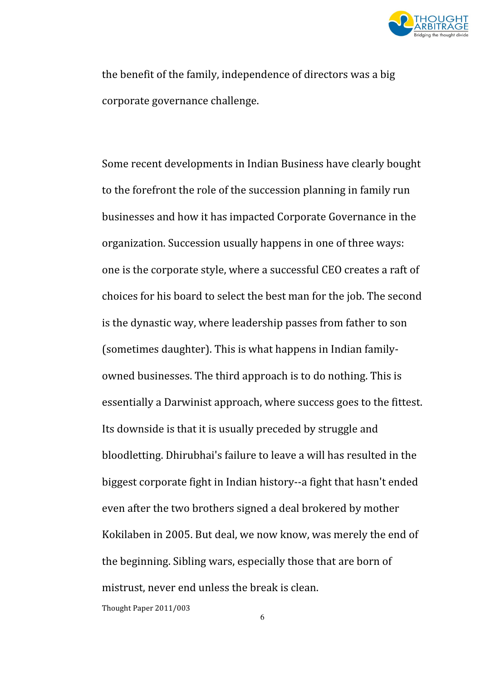

the benefit of the family, independence of directors was a big corporate governance challenge.

Some recent developments in Indian Business have clearly bought to the forefront the role of the succession planning in family run businesses and how it has impacted Corporate Governance in the organization. Succession usually happens in one of three ways: one is the corporate style, where a successful CEO creates a raft of choices for his board to select the best man for the job. The second is the dynastic way, where leadership passes from father to son (sometimes daughter). This is what happens in Indian familyowned businesses. The third approach is to do nothing. This is essentially a Darwinist approach, where success goes to the fittest. Its downside is that it is usually preceded by struggle and bloodletting. Dhirubhai's failure to leave a will has resulted in the biggest corporate fight in Indian history--a fight that hasn't ended even after the two brothers signed a deal brokered by mother Kokilaben in 2005. But deal, we now know, was merely the end of the beginning. Sibling wars, especially those that are born of mistrust, never end unless the break is clean.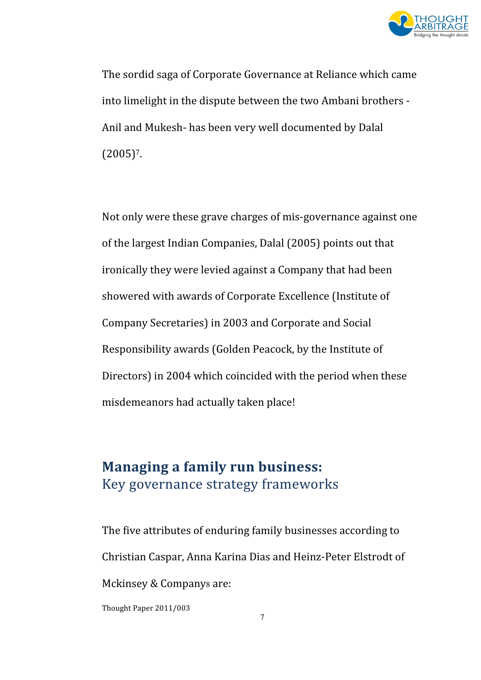

The sordid saga of Corporate Governance at Reliance which came into limelight in the dispute between the two Ambani brothers - Anil and Mukesh- has been very well documented by Dalal  $(2005)^7$ .

Not only were these grave charges of mis-governance against one of the largest Indian Companies, Dalal (2005) points out that ironically they were levied against a Company that had been showered with awards of Corporate Excellence (Institute of Company Secretaries) in 2003 and Corporate and Social Responsibility awards (Golden Peacock, by the Institute of Directors) in 2004 which coincided with the period when these misdemeanors had actually taken place!

#### Managing a family run business: Key governance strategy frameworks

The five attributes of enduring family businesses according to Christian Caspar, Anna Karina Dias and Heinz-Peter Elstrodt of Mckinsey & Companys are: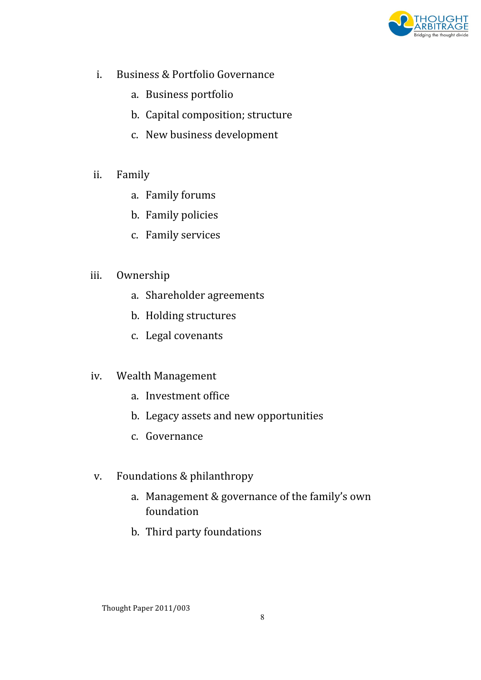

- i. Business & Portfolio Governance
	- a. Business portfolio
	- b. Capital composition; structure
	- c. New business development
- ii. Family
	- a. Family forums
	- b. Family policies
	- c. Family services

#### iii. Ownership

- a. Shareholder agreements
- b. Holding structures
- c. Legal covenants

#### iv. Wealth Management

- a. Investment office
- b. Legacy assets and new opportunities
- c. Governance
- v. Foundations & philanthropy
	- a. Management & governance of the family's own foundation
	- b. Third party foundations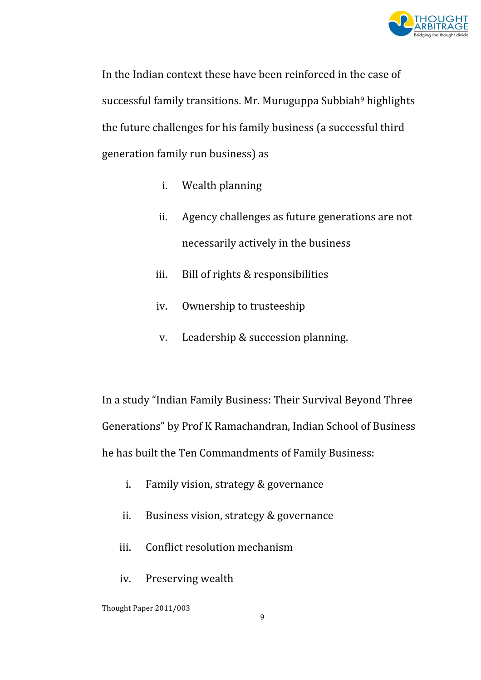

In the Indian context these have been reinforced in the case of successful family transitions. Mr. Muruguppa Subbiah<sup>9</sup> highlights the future challenges for his family business (a successful third generation family run business) as

- i. Wealth planning
- ii. Agency challenges as future generations are not necessarily actively in the business
- iii. Bill of rights & responsibilities
- iv. Ownership to trusteeship
- v. Leadership & succession planning.

In a study "Indian Family Business: Their Survival Beyond Three Generations" by Prof K Ramachandran, Indian School of Business he has built the Ten Commandments of Family Business:

- i. Family vision, strategy & governance
- ii. Business vision, strategy & governance
- iii. Conflict resolution mechanism
- iv. Preserving wealth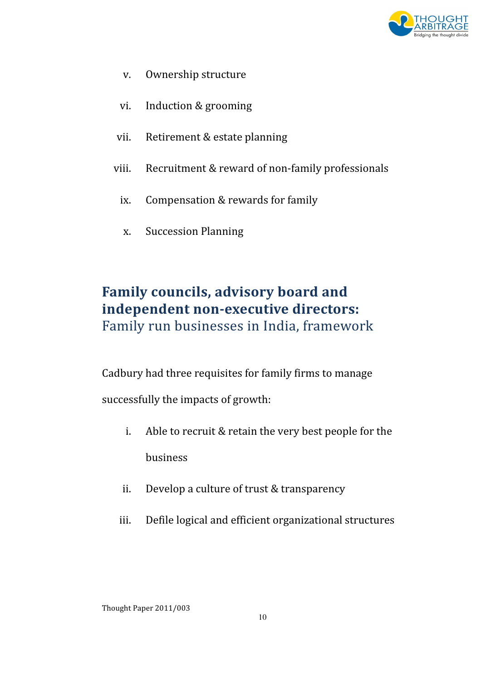

- v. Ownership structure
- vi. Induction & grooming
- vii. Retirement & estate planning
- viii. Recruitment & reward of non-family professionals
	- ix. Compensation & rewards for family
	- x. Succession Planning

### Family councils, advisory board and independent non-executive directors: Family run businesses in India, framework

Cadbury had three requisites for family firms to manage

successfully the impacts of growth:

- i. Able to recruit & retain the very best people for the business
- ii. Develop a culture of trust & transparency
- iii. Defile logical and efficient organizational structures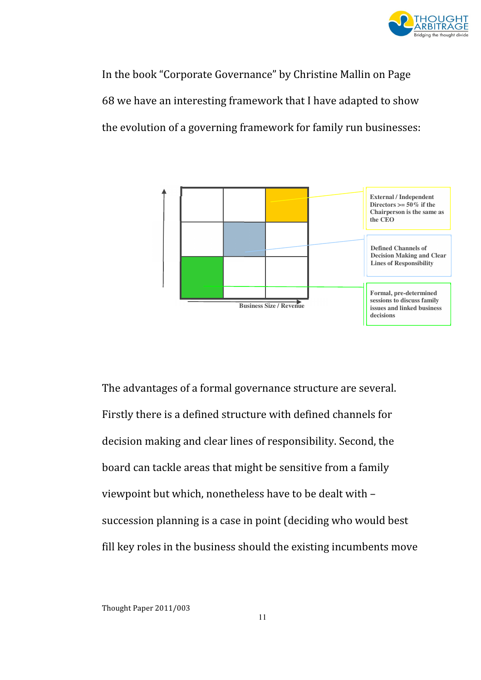

In the book "Corporate Governance" by Christine Mallin on Page 68 we have an interesting framework that I have adapted to show the evolution of a governing framework for family run businesses:



The advantages of a formal governance structure are several. Firstly there is a defined structure with defined channels for decision making and clear lines of responsibility. Second, the board can tackle areas that might be sensitive from a family viewpoint but which, nonetheless have to be dealt with – succession planning is a case in point (deciding who would best fill key roles in the business should the existing incumbents move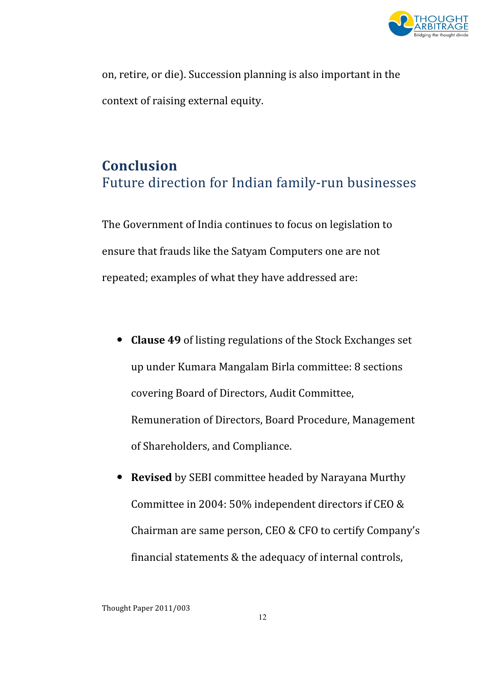

on, retire, or die). Succession planning is also important in the context of raising external equity.

### Conclusion Future direction for Indian family-run businesses

The Government of India continues to focus on legislation to ensure that frauds like the Satyam Computers one are not repeated; examples of what they have addressed are:

- Clause 49 of listing regulations of the Stock Exchanges set up under Kumara Mangalam Birla committee: 8 sections covering Board of Directors, Audit Committee, Remuneration of Directors, Board Procedure, Management of Shareholders, and Compliance.
- Revised by SEBI committee headed by Narayana Murthy Committee in 2004: 50% independent directors if CEO & Chairman are same person, CEO & CFO to certify Company's financial statements & the adequacy of internal controls,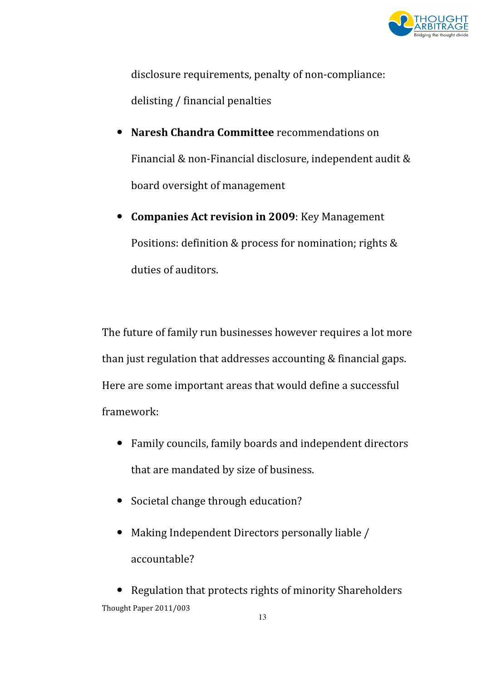

disclosure requirements, penalty of non-compliance: delisting / financial penalties

- Naresh Chandra Committee recommendations on Financial & non-Financial disclosure, independent audit & board oversight of management
- Companies Act revision in 2009: Key Management Positions: definition & process for nomination; rights & duties of auditors.

The future of family run businesses however requires a lot more than just regulation that addresses accounting & financial gaps. Here are some important areas that would define a successful framework:

- Family councils, family boards and independent directors that are mandated by size of business.
- Societal change through education?
- Making Independent Directors personally liable / accountable?

Thought Paper 2011/003 • Regulation that protects rights of minority Shareholders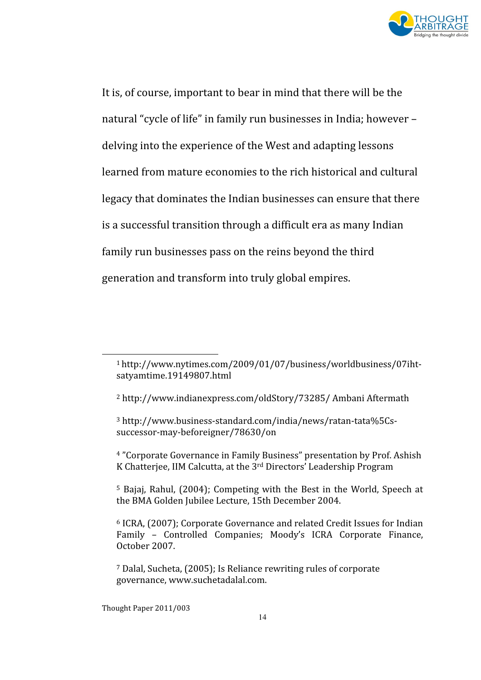

It is, of course, important to bear in mind that there will be the natural "cycle of life" in family run businesses in India; however – delving into the experience of the West and adapting lessons learned from mature economies to the rich historical and cultural legacy that dominates the Indian businesses can ensure that there is a successful transition through a difficult era as many Indian family run businesses pass on the reins beyond the third generation and transform into truly global empires.

 $\overline{\phantom{0}}$ 

<sup>1</sup>http://www.nytimes.com/2009/01/07/business/worldbusiness/07ihtsatyamtime.19149807.html

<sup>2</sup> http://www.indianexpress.com/oldStory/73285/ Ambani Aftermath

<sup>3</sup> http://www.business-standard.com/india/news/ratan-tata%5Cssuccessor-may-beforeigner/78630/on

<sup>4</sup> "Corporate Governance in Family Business" presentation by Prof. Ashish K Chatterjee, IIM Calcutta, at the 3rd Directors' Leadership Program

<sup>5</sup> Bajaj, Rahul, (2004); Competing with the Best in the World, Speech at the BMA Golden Jubilee Lecture, 15th December 2004.

<sup>6</sup> ICRA, (2007); Corporate Governance and related Credit Issues for Indian Family – Controlled Companies; Moody's ICRA Corporate Finance, October 2007.

<sup>7</sup> Dalal, Sucheta, (2005); Is Reliance rewriting rules of corporate governance, www.suchetadalal.com.